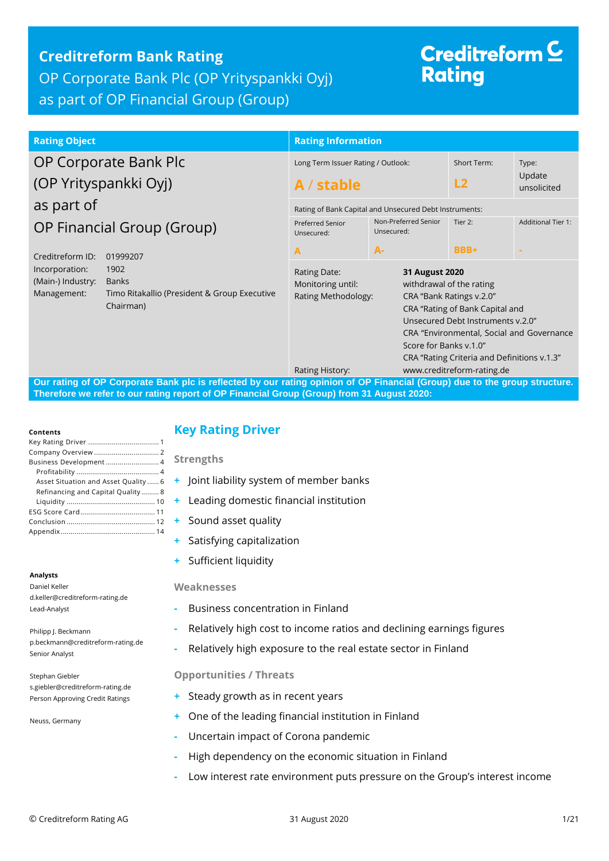## **Creditreform Bank Rating** OP Corporate Bank Plc (OP Yrityspankki Oyj) as part of OP Financial Group (Group)

# Creditreform  $\subseteq$ **Rating**

| <b>Rating Object</b>                                                                                                                    | <b>Rating Information</b>                                |                                                        |                                                                                                                                                                                                                                                                      |                           |  |  |
|-----------------------------------------------------------------------------------------------------------------------------------------|----------------------------------------------------------|--------------------------------------------------------|----------------------------------------------------------------------------------------------------------------------------------------------------------------------------------------------------------------------------------------------------------------------|---------------------------|--|--|
| OP Corporate Bank Plc                                                                                                                   | Long Term Issuer Rating / Outlook:                       |                                                        | Short Term:                                                                                                                                                                                                                                                          | Type:                     |  |  |
| (OP Yrityspankki Oyj)                                                                                                                   | A / stable                                               |                                                        | L <sub>2</sub>                                                                                                                                                                                                                                                       | Update<br>unsolicited     |  |  |
| as part of                                                                                                                              |                                                          | Rating of Bank Capital and Unsecured Debt Instruments: |                                                                                                                                                                                                                                                                      |                           |  |  |
| OP Financial Group (Group)                                                                                                              | <b>Preferred Senior</b><br>Unsecured:                    | Non-Preferred Senior<br>Unsecured:                     | Tier 2:                                                                                                                                                                                                                                                              | <b>Additional Tier 1:</b> |  |  |
| Creditreform ID:<br>01999207                                                                                                            | A                                                        | $A -$                                                  | BBB+                                                                                                                                                                                                                                                                 |                           |  |  |
| Incorporation:<br>1902<br>(Main-) Industry:<br><b>Banks</b><br>Management:<br>Timo Ritakallio (President & Group Executive<br>Chairman) | Rating Date:<br>Monitoring until:<br>Rating Methodology: |                                                        | 31 August 2020<br>withdrawal of the rating<br>CRA "Bank Ratings v.2.0"<br>CRA "Rating of Bank Capital and<br>Unsecured Debt Instruments v.2.0"<br>CRA "Environmental, Social and Governance<br>Score for Banks v.1.0"<br>CRA "Rating Criteria and Definitions v.1.3" |                           |  |  |
| Our rating of OB Cornerate Rank ple is reflected by our rating opinion of OB Einapoial (Croup) due to the group structure               | Rating History:                                          |                                                        | www.creditreform-rating.de                                                                                                                                                                                                                                           |                           |  |  |

**Cating opinion of OP Financial (Group) due to the group structure. Therefore we refer to our rating report of OP Financial Group (Group) from 31 August 2020:**

#### **Contents**

| Business Development 4               |
|--------------------------------------|
|                                      |
| Asset Situation and Asset Quality  6 |
| Refinancing and Capital Quality 8    |
|                                      |
|                                      |
|                                      |
|                                      |
|                                      |

#### **Analysts**

Daniel Keller d.keller@creditreform-rating.de Lead-Analyst

Philipp J. Beckmann p.beckmann@creditreform-rating.de Senior Analyst

Stephan Giebler s.giebler@creditreform-rating.de Person Approving Credit Ratings

Neuss, Germany

## <span id="page-0-0"></span>**Key Rating Driver**

**Strengths**

- **+** Joint liability system of member banks
- **+** Leading domestic financial institution
- **+** Sound asset quality
- **+** Satisfying capitalization
- **+** Sufficient liquidity

#### **Weaknesses**

- **-** Business concentration in Finland
- **-** Relatively high cost to income ratios and declining earnings figures
- **-** Relatively high exposure to the real estate sector in Finland

#### **Opportunities / Threats**

- **+** Steady growth as in recent years
- **+** One of the leading financial institution in Finland
- **-** Uncertain impact of Corona pandemic
- <span id="page-0-1"></span>**-** High dependency on the economic situation in Finland
- **-** Low interest rate environment puts pressure on the Group's interest income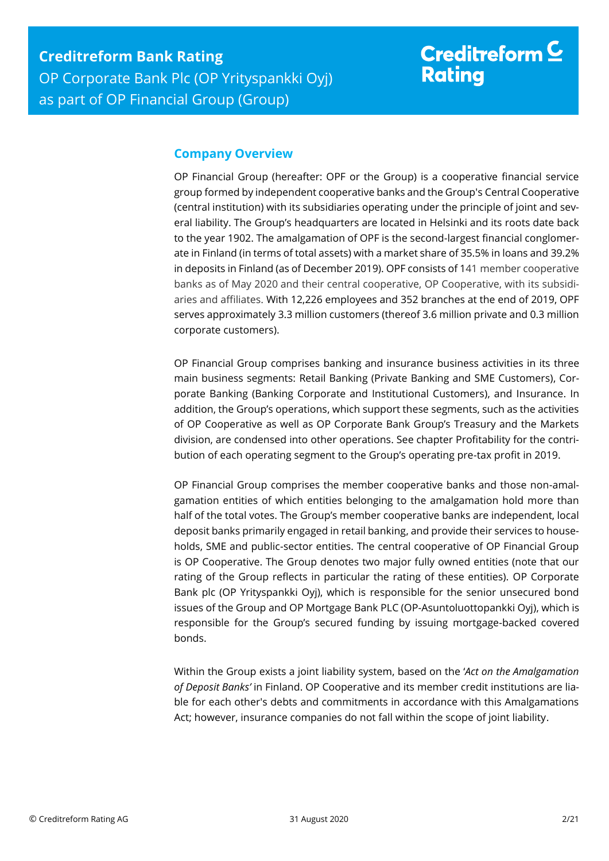## **Company Overview**

OP Financial Group (hereafter: OPF or the Group) is a cooperative financial service group formed by independent cooperative banks and the Group's Central Cooperative (central institution) with its subsidiaries operating under the principle of joint and several liability. The Group's headquarters are located in Helsinki and its roots date back to the year 1902. The amalgamation of OPF is the second-largest financial conglomerate in Finland (in terms of total assets) with a market share of 35.5% in loans and 39.2% in deposits in Finland (as of December 2019). OPF consists of 141 member cooperative banks as of May 2020 and their central cooperative, OP Cooperative, with its subsidiaries and affiliates. With 12,226 employees and 352 branches at the end of 2019, OPF serves approximately 3.3 million customers (thereof 3.6 million private and 0.3 million corporate customers).

OP Financial Group comprises banking and insurance business activities in its three main business segments: Retail Banking (Private Banking and SME Customers), Corporate Banking (Banking Corporate and Institutional Customers), and Insurance. In addition, the Group's operations, which support these segments, such as the activities of OP Cooperative as well as OP Corporate Bank Group's Treasury and the Markets division, are condensed into other operations. See chapter Profitability for the contribution of each operating segment to the Group's operating pre-tax profit in 2019.

OP Financial Group comprises the member cooperative banks and those non-amalgamation entities of which entities belonging to the amalgamation hold more than half of the total votes. The Group's member cooperative banks are independent, local deposit banks primarily engaged in retail banking, and provide their services to households, SME and public-sector entities. The central cooperative of OP Financial Group is OP Cooperative. The Group denotes two major fully owned entities (note that our rating of the Group reflects in particular the rating of these entities). OP Corporate Bank plc (OP Yrityspankki Oyj), which is responsible for the senior unsecured bond issues of the Group and OP Mortgage Bank PLC (OP-Asuntoluottopankki Oyj), which is responsible for the Group's secured funding by issuing mortgage-backed covered bonds.

Within the Group exists a joint liability system, based on the '*Act on the Amalgamation of Deposit Banks'* in Finland. OP Cooperative and its member credit institutions are liable for each other's debts and commitments in accordance with this Amalgamations Act; however, insurance companies do not fall within the scope of joint liability.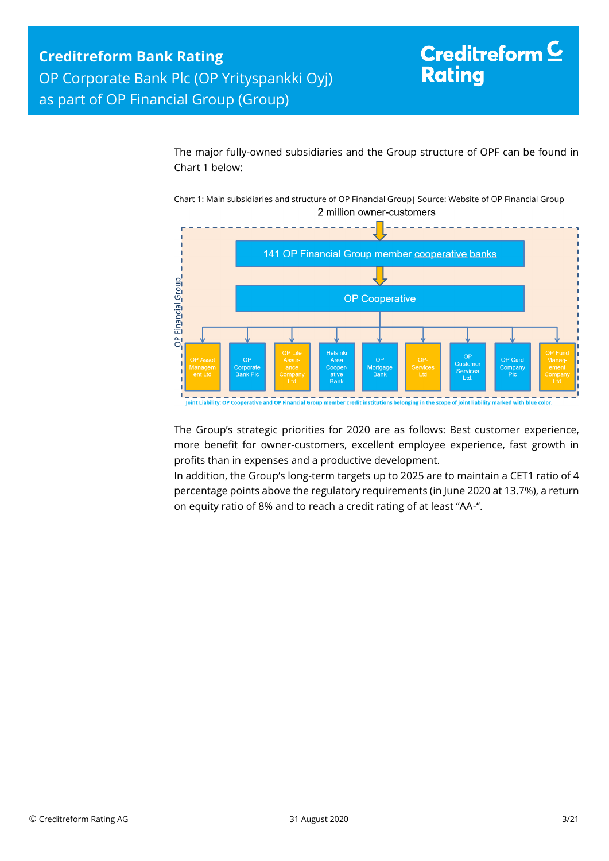The major fully-owned subsidiaries and the Group structure of OPF can be found in Chart 1 below:

Chart 1: Main subsidiaries and structure of OP Financial Group| Source: Website of OP Financial Group 2 million owner-customers



The Group's strategic priorities for 2020 are as follows: Best customer experience, more benefit for owner-customers, excellent employee experience, fast growth in profits than in expenses and a productive development.

In addition, the Group's long-term targets up to 2025 are to maintain a CET1 ratio of 4 percentage points above the regulatory requirements (in June 2020 at 13.7%), a return on equity ratio of 8% and to reach a credit rating of at least "AA-".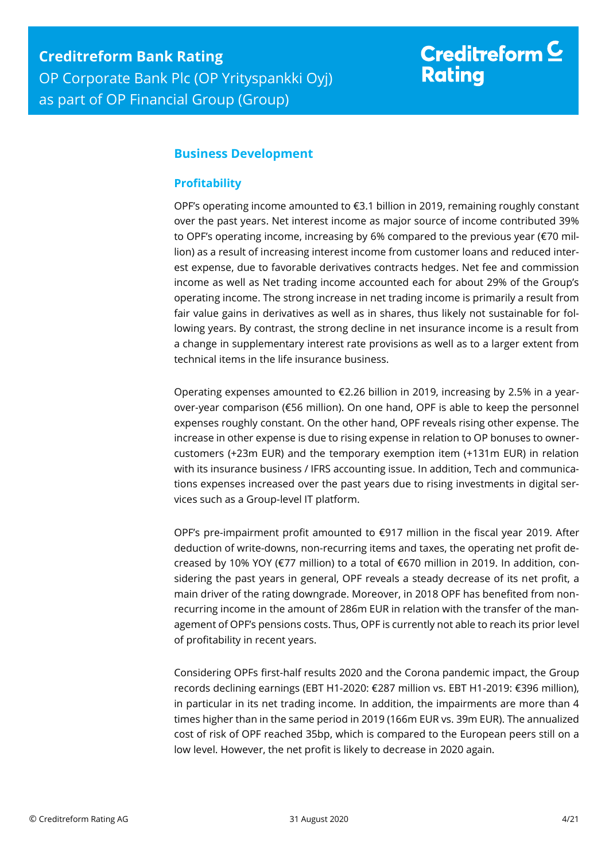## <span id="page-3-0"></span>**Business Development**

### <span id="page-3-1"></span>**Profitability**

OPF's operating income amounted to €3.1 billion in 2019, remaining roughly constant over the past years. Net interest income as major source of income contributed 39% to OPF's operating income, increasing by 6% compared to the previous year (€70 million) as a result of increasing interest income from customer loans and reduced interest expense, due to favorable derivatives contracts hedges. Net fee and commission income as well as Net trading income accounted each for about 29% of the Group's operating income. The strong increase in net trading income is primarily a result from fair value gains in derivatives as well as in shares, thus likely not sustainable for following years. By contrast, the strong decline in net insurance income is a result from a change in supplementary interest rate provisions as well as to a larger extent from technical items in the life insurance business.

Operating expenses amounted to €2.26 billion in 2019, increasing by 2.5% in a yearover-year comparison (€56 million). On one hand, OPF is able to keep the personnel expenses roughly constant. On the other hand, OPF reveals rising other expense. The increase in other expense is due to rising expense in relation to OP bonuses to ownercustomers (+23m EUR) and the temporary exemption item (+131m EUR) in relation with its insurance business / IFRS accounting issue. In addition, Tech and communications expenses increased over the past years due to rising investments in digital services such as a Group-level IT platform.

OPF's pre-impairment profit amounted to  $\epsilon$ 917 million in the fiscal year 2019. After deduction of write-downs, non-recurring items and taxes, the operating net profit decreased by 10% YOY (€77 million) to a total of €670 million in 2019. In addition, considering the past years in general, OPF reveals a steady decrease of its net profit, a main driver of the rating downgrade. Moreover, in 2018 OPF has benefited from nonrecurring income in the amount of 286m EUR in relation with the transfer of the management of OPF's pensions costs. Thus, OPF is currently not able to reach its prior level of profitability in recent years.

Considering OPFs first-half results 2020 and the Corona pandemic impact, the Group records declining earnings (EBT H1-2020: €287 million vs. EBT H1-2019: €396 million), in particular in its net trading income. In addition, the impairments are more than 4 times higher than in the same period in 2019 (166m EUR vs. 39m EUR). The annualized cost of risk of OPF reached 35bp, which is compared to the European peers still on a low level. However, the net profit is likely to decrease in 2020 again.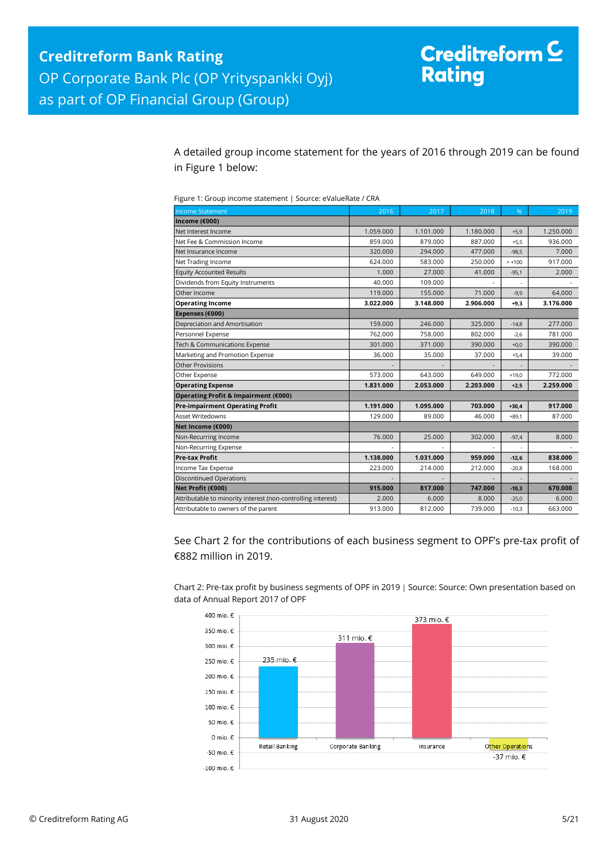A detailed group income statement for the years of 2016 through 2019 can be found in Figure 1 below:

| Figure 1: Group income statement   Source: eValueRate / CRA |  |
|-------------------------------------------------------------|--|
|                                                             |  |

| <b>Income Statement</b>                                      | 2016      | 2017      | 2018      | %        | 2019      |
|--------------------------------------------------------------|-----------|-----------|-----------|----------|-----------|
| Income (€000)                                                |           |           |           |          |           |
| Net Interest Income                                          | 1.059.000 | 1.101.000 | 1.180.000 | $+5,9$   | 1.250.000 |
| Net Fee & Commission Income                                  | 859.000   | 879.000   | 887.000   | $+5,5$   | 936.000   |
| Net Insurance Income                                         | 320.000   | 294.000   | 477.000   | $-98,5$  | 7.000     |
| Net Trading Income                                           | 624.000   | 583.000   | 250.000   | $> +100$ | 917.000   |
| <b>Equity Accounted Results</b>                              | 1.000     | 27.000    | 41.000    | $-95,1$  | 2.000     |
| Dividends from Equity Instruments                            | 40.000    | 109.000   |           | ٠        |           |
| Other Income                                                 | 119.000   | 155.000   | 71.000    | $-9,9$   | 64.000    |
| <b>Operating Income</b>                                      | 3.022.000 | 3.148.000 | 2.906.000 | $+9,3$   | 3.176.000 |
| Expenses (€000)                                              |           |           |           |          |           |
| Depreciation and Amortisation                                | 159,000   | 246.000   | 325.000   | $-14.8$  | 277,000   |
| Personnel Expense                                            | 762.000   | 758.000   | 802.000   | $-2.6$   | 781.000   |
| Tech & Communications Expense                                | 301.000   | 371.000   | 390.000   | $+0,0$   | 390.000   |
| Marketing and Promotion Expense                              | 36.000    | 35.000    | 37.000    | $+5,4$   | 39.000    |
| Other Provisions                                             |           |           |           |          |           |
| Other Expense                                                | 573.000   | 643.000   | 649.000   | $+19,0$  | 772.000   |
| <b>Operating Expense</b>                                     | 1.831.000 | 2.053.000 | 2.203.000 | $+2.5$   | 2.259.000 |
| Operating Profit & Impairment (€000)                         |           |           |           |          |           |
| <b>Pre-impairment Operating Profit</b>                       | 1.191.000 | 1.095.000 | 703.000   | $+30,4$  | 917.000   |
| Asset Writedowns                                             | 129,000   | 89.000    | 46.000    | $+89.1$  | 87.000    |
| Net Income (€000)                                            |           |           |           |          |           |
| Non-Recurring Income                                         | 76.000    | 25.000    | 302.000   | $-97,4$  | 8.000     |
| Non-Recurring Expense                                        |           |           |           |          |           |
| <b>Pre-tax Profit</b>                                        | 1.138.000 | 1.031.000 | 959.000   | $-12,6$  | 838.000   |
| Income Tax Expense                                           | 223.000   | 214.000   | 212.000   | $-20,8$  | 168.000   |
| <b>Discontinued Operations</b>                               |           |           |           |          |           |
| Net Profit (€000)                                            | 915.000   | 817.000   | 747.000   | $-10,3$  | 670.000   |
| Attributable to minority interest (non-controlling interest) | 2.000     | 6.000     | 8.000     | $-25,0$  | 6.000     |
| Attributable to owners of the parent                         | 913.000   | 812.000   | 739.000   | $-10,3$  | 663.000   |

See Chart 2 for the contributions of each business segment to OPF's pre-tax profit of €882 million in 2019.

Chart 2: Pre-tax profit by business segments of OPF in 2019 | Source: Source: Own presentation based on data of Annual Report 2017 of OPF

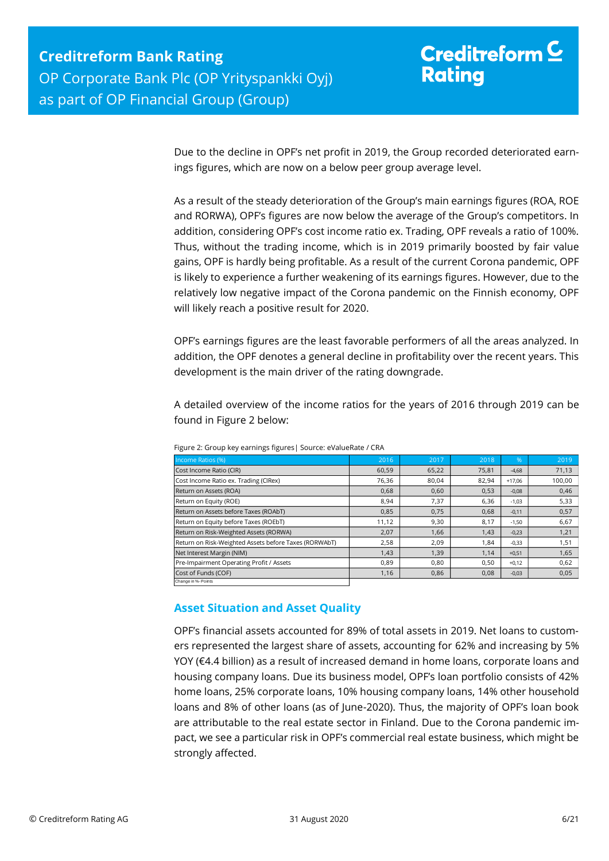Due to the decline in OPF's net profit in 2019, the Group recorded deteriorated earnings figures, which are now on a below peer group average level.

As a result of the steady deterioration of the Group's main earnings figures (ROA, ROE and RORWA), OPF's figures are now below the average of the Group's competitors. In addition, considering OPF's cost income ratio ex. Trading, OPF reveals a ratio of 100%. Thus, without the trading income, which is in 2019 primarily boosted by fair value gains, OPF is hardly being profitable. As a result of the current Corona pandemic, OPF is likely to experience a further weakening of its earnings figures. However, due to the relatively low negative impact of the Corona pandemic on the Finnish economy, OPF will likely reach a positive result for 2020.

OPF's earnings figures are the least favorable performers of all the areas analyzed. In addition, the OPF denotes a general decline in profitability over the recent years. This development is the main driver of the rating downgrade.

A detailed overview of the income ratios for the years of 2016 through 2019 can be found in Figure 2 below:

| Income Ratios (%)                                     | 2016  | 2017  | 2018  | $\%$     | 2019   |
|-------------------------------------------------------|-------|-------|-------|----------|--------|
| Cost Income Ratio (CIR)                               | 60,59 | 65,22 | 75,81 | $-4,68$  | 71,13  |
| Cost Income Ratio ex. Trading (CIRex)                 | 76,36 | 80,04 | 82,94 | $+17.06$ | 100,00 |
| Return on Assets (ROA)                                | 0,68  | 0,60  | 0,53  | $-0,08$  | 0,46   |
| Return on Equity (ROE)                                | 8,94  | 7,37  | 6,36  | $-1,03$  | 5,33   |
| Return on Assets before Taxes (ROAbT)                 | 0,85  | 0.75  | 0.68  | $-0,11$  | 0,57   |
| Return on Equity before Taxes (ROEbT)                 | 11,12 | 9,30  | 8,17  | $-1,50$  | 6,67   |
| Return on Risk-Weighted Assets (RORWA)                | 2,07  | 1,66  | 1,43  | $-0,23$  | 1,21   |
| Return on Risk-Weighted Assets before Taxes (RORWAbT) | 2,58  | 2,09  | 1.84  | $-0,33$  | 1,51   |
| Net Interest Margin (NIM)                             | 1,43  | 1,39  | 1,14  | $+0,51$  | 1,65   |
| Pre-Impairment Operating Profit / Assets              | 0,89  | 0.80  | 0,50  | $+0,12$  | 0,62   |
| Cost of Funds (COF)                                   | 1,16  | 0,86  | 0,08  | $-0,03$  | 0,05   |
| Change in %- Points                                   |       |       |       |          |        |

Figure 2: Group key earnings figures| Source: eValueRate / CRA

## <span id="page-5-0"></span>**Asset Situation and Asset Quality**

OPF's financial assets accounted for 89% of total assets in 2019. Net loans to customers represented the largest share of assets, accounting for 62% and increasing by 5% YOY (€4.4 billion) as a result of increased demand in home loans, corporate loans and housing company loans. Due its business model, OPF's loan portfolio consists of 42% home loans, 25% corporate loans, 10% housing company loans, 14% other household loans and 8% of other loans (as of June-2020). Thus, the majority of OPF's loan book are attributable to the real estate sector in Finland. Due to the Corona pandemic impact, we see a particular risk in OPF's commercial real estate business, which might be strongly affected.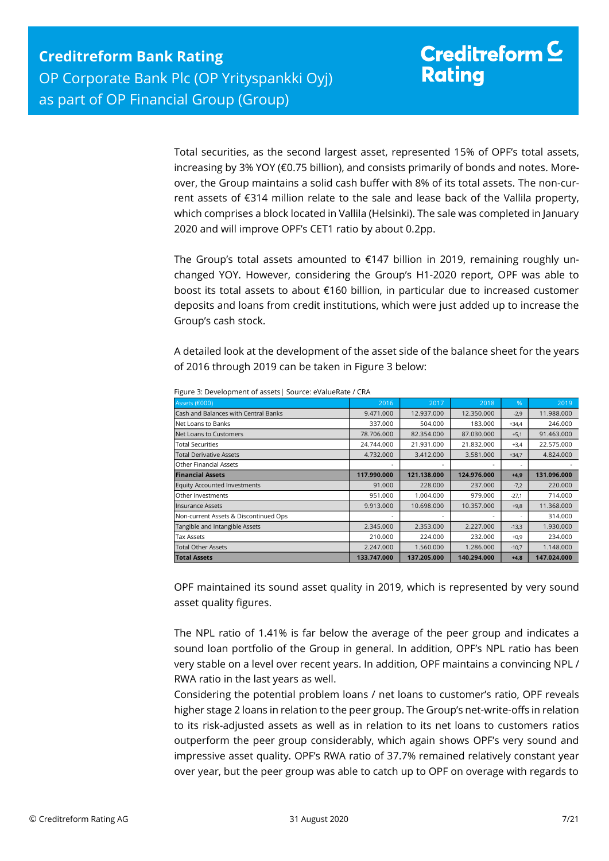Total securities, as the second largest asset, represented 15% of OPF's total assets, increasing by 3% YOY (€0.75 billion), and consists primarily of bonds and notes. Moreover, the Group maintains a solid cash buffer with 8% of its total assets. The non-current assets of €314 million relate to the sale and lease back of the Vallila property, which comprises a block located in Vallila (Helsinki). The sale was completed in January 2020 and will improve OPF's CET1 ratio by about 0.2pp.

The Group's total assets amounted to  $£147$  billion in 2019, remaining roughly unchanged YOY. However, considering the Group's H1-2020 report, OPF was able to boost its total assets to about €160 billion, in particular due to increased customer deposits and loans from credit institutions, which were just added up to increase the Group's cash stock.

A detailed look at the development of the asset side of the balance sheet for the years of 2016 through 2019 can be taken in Figure 3 below:

| Assets (€000)                         | 2016        | 2017        | 2018        | $\%$    | 2019        |
|---------------------------------------|-------------|-------------|-------------|---------|-------------|
| Cash and Balances with Central Banks  | 9.471.000   | 12.937.000  | 12.350.000  | $-2,9$  | 11.988.000  |
| Net Loans to Banks                    | 337.000     | 504.000     | 183.000     | $+34,4$ | 246.000     |
| Net Loans to Customers                | 78.706.000  | 82.354.000  | 87.030.000  | $+5,1$  | 91.463.000  |
| <b>Total Securities</b>               | 24.744.000  | 21.931.000  | 21.832.000  | $+3,4$  | 22.575.000  |
| <b>Total Derivative Assets</b>        | 4.732.000   | 3.412.000   | 3.581.000   | $+34,7$ | 4.824.000   |
| <b>Other Financial Assets</b>         |             |             |             | ۰       |             |
| <b>Financial Assets</b>               | 117.990.000 | 121.138.000 | 124.976.000 | $+4,9$  | 131.096.000 |
| Equity Accounted Investments          | 91.000      | 228,000     | 237,000     | $-7,2$  | 220,000     |
| Other Investments                     | 951.000     | 1.004.000   | 979.000     | $-27,1$ | 714.000     |
| <b>Insurance Assets</b>               | 9.913.000   | 10.698.000  | 10.357.000  | $+9,8$  | 11.368.000  |
| Non-current Assets & Discontinued Ops |             |             | ۰           | ٠       | 314.000     |
| Tangible and Intangible Assets        | 2.345.000   | 2.353.000   | 2.227.000   | $-13,3$ | 1.930.000   |
| <b>Tax Assets</b>                     | 210.000     | 224.000     | 232.000     | $+0,9$  | 234.000     |
| <b>Total Other Assets</b>             | 2.247.000   | 1.560.000   | 1.286.000   | $-10,7$ | 1.148.000   |
| <b>Total Assets</b>                   | 133.747.000 | 137.205.000 | 140.294.000 | $+4,8$  | 147.024.000 |

Figure 3: Development of assets| Source: eValueRate / CRA

OPF maintained its sound asset quality in 2019, which is represented by very sound asset quality figures.

The NPL ratio of 1.41% is far below the average of the peer group and indicates a sound loan portfolio of the Group in general. In addition, OPF's NPL ratio has been very stable on a level over recent years. In addition, OPF maintains a convincing NPL / RWA ratio in the last years as well.

Considering the potential problem loans / net loans to customer's ratio, OPF reveals higher stage 2 loans in relation to the peer group. The Group's net-write-offs in relation to its risk-adjusted assets as well as in relation to its net loans to customers ratios outperform the peer group considerably, which again shows OPF's very sound and impressive asset quality. OPF's RWA ratio of 37.7% remained relatively constant year over year, but the peer group was able to catch up to OPF on overage with regards to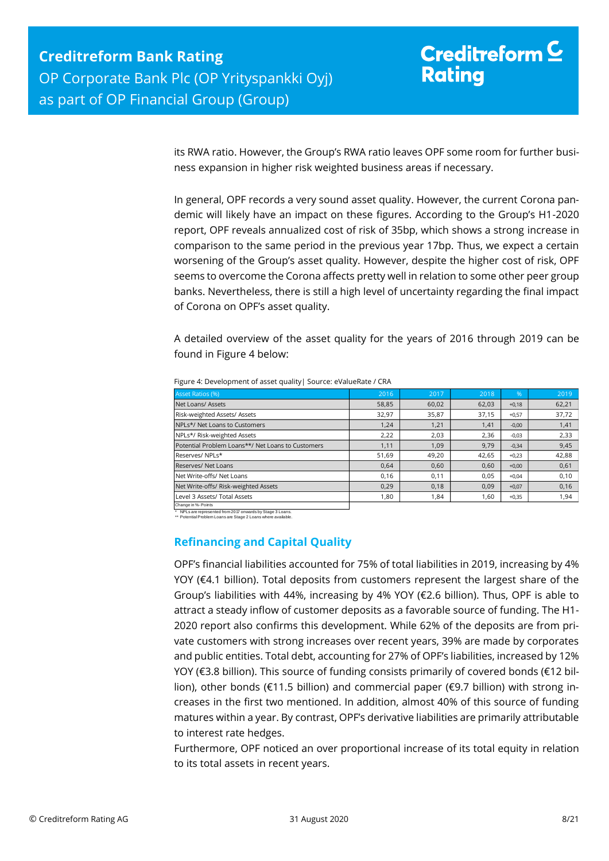its RWA ratio. However, the Group's RWA ratio leaves OPF some room for further business expansion in higher risk weighted business areas if necessary.

In general, OPF records a very sound asset quality. However, the current Corona pandemic will likely have an impact on these figures. According to the Group's H1-2020 report, OPF reveals annualized cost of risk of 35bp, which shows a strong increase in comparison to the same period in the previous year 17bp. Thus, we expect a certain worsening of the Group's asset quality. However, despite the higher cost of risk, OPF seems to overcome the Corona affects pretty well in relation to some other peer group banks. Nevertheless, there is still a high level of uncertainty regarding the final impact of Corona on OPF's asset quality.

A detailed overview of the asset quality for the years of 2016 through 2019 can be found in Figure 4 below:

| Asset Ratios (%)                                  | 2016  | 2017  | 2018  | $\frac{9}{6}$ | 2019  |
|---------------------------------------------------|-------|-------|-------|---------------|-------|
| Net Loans/ Assets                                 | 58,85 | 60,02 | 62,03 | $+0,18$       | 62,21 |
| Risk-weighted Assets/ Assets                      | 32,97 | 35,87 | 37,15 | $+0,57$       | 37,72 |
| NPLs*/ Net Loans to Customers                     | 1,24  | 1,21  | 1,41  | $-0,00$       | 1,41  |
| NPLs*/ Risk-weighted Assets                       | 2,22  | 2,03  | 2,36  | $-0,03$       | 2,33  |
| Potential Problem Loans**/ Net Loans to Customers | 1,11  | 1,09  | 9,79  | $-0,34$       | 9,45  |
| Reserves/NPLs*                                    | 51,69 | 49,20 | 42,65 | $+0,23$       | 42,88 |
| Reserves/ Net Loans                               | 0.64  | 0,60  | 0.60  | $+0,00$       | 0,61  |
| Net Write-offs/ Net Loans                         | 0,16  | 0,11  | 0,05  | $+0.04$       | 0,10  |
| Net Write-offs/ Risk-weighted Assets              | 0,29  | 0,18  | 0,09  | $+0,07$       | 0,16  |
| Level 3 Assets/ Total Assets                      | 1,80  | 1,84  | 1,60  | $+0,35$       | 1,94  |
| Change in %- Points                               |       |       |       |               |       |

Figure 4: Development of asset quality| Source: eValueRate / CRA

\* NPLs are represented from 2017 onwards by Stage 3 Loans. \*\* Potential Problem Loans are Stage 2 Loans where available.

## <span id="page-7-0"></span>**Refinancing and Capital Quality**

OPF's financial liabilities accounted for 75% of total liabilities in 2019, increasing by 4% YOY (€4.1 billion). Total deposits from customers represent the largest share of the Group's liabilities with 44%, increasing by 4% YOY (€2.6 billion). Thus, OPF is able to attract a steady inflow of customer deposits as a favorable source of funding. The H1- 2020 report also confirms this development. While 62% of the deposits are from private customers with strong increases over recent years, 39% are made by corporates and public entities. Total debt, accounting for 27% of OPF's liabilities, increased by 12% YOY (€3.8 billion). This source of funding consists primarily of covered bonds (€12 billion), other bonds (€11.5 billion) and commercial paper (€9.7 billion) with strong increases in the first two mentioned. In addition, almost 40% of this source of funding matures within a year. By contrast, OPF's derivative liabilities are primarily attributable to interest rate hedges.

Furthermore, OPF noticed an over proportional increase of its total equity in relation to its total assets in recent years.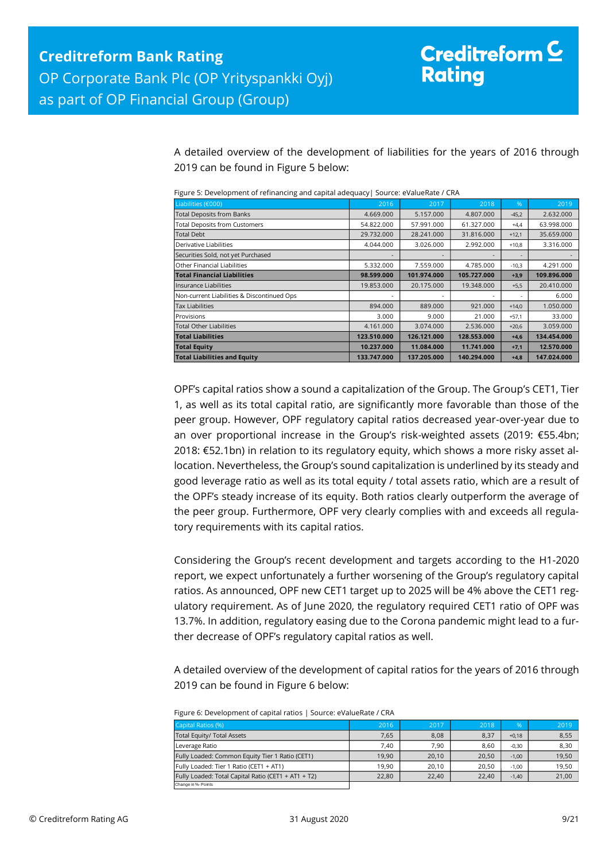A detailed overview of the development of liabilities for the years of 2016 through 2019 can be found in Figure 5 below:

|  |  |  | Figure 5: Development of refinancing and capital adequacy   Source: eValueRate / CRA |  |
|--|--|--|--------------------------------------------------------------------------------------|--|
|  |  |  |                                                                                      |  |

| Liabilities (€000)                         | 2016                     | 2017        | 2018        | %       | 2019        |
|--------------------------------------------|--------------------------|-------------|-------------|---------|-------------|
| <b>Total Deposits from Banks</b>           | 4.669.000                | 5.157.000   | 4.807.000   | $-45,2$ | 2.632.000   |
| <b>Total Deposits from Customers</b>       | 54.822.000               | 57.991.000  | 61.327.000  | $+4,4$  | 63.998.000  |
| <b>Total Debt</b>                          | 29.732.000               | 28.241.000  | 31.816.000  | $+12,1$ | 35.659.000  |
| Derivative Liabilities                     | 4.044.000                | 3.026.000   | 2.992.000   | $+10,8$ | 3.316.000   |
| Securities Sold, not yet Purchased         |                          |             |             |         |             |
| Other Financial Liabilities                | 5.332.000                | 7.559.000   | 4.785.000   | $-10,3$ | 4.291.000   |
| <b>Total Financial Liabilities</b>         | 98.599.000               | 101.974.000 | 105.727.000 | $+3,9$  | 109.896.000 |
| Insurance Liabilities                      | 19.853.000               | 20.175.000  | 19.348.000  | $+5,5$  | 20.410.000  |
| Non-current Liabilities & Discontinued Ops | $\overline{\phantom{a}}$ |             |             | ٠       | 6.000       |
| <b>Tax Liabilities</b>                     | 894.000                  | 889,000     | 921.000     | $+14,0$ | 1.050.000   |
| Provisions                                 | 3.000                    | 9.000       | 21.000      | $+57,1$ | 33.000      |
| <b>Total Other Liabilities</b>             | 4.161.000                | 3.074.000   | 2.536.000   | $+20,6$ | 3.059.000   |
| <b>Total Liabilities</b>                   | 123.510.000              | 126.121.000 | 128.553.000 | $+4,6$  | 134.454.000 |
| <b>Total Equity</b>                        | 10.237.000               | 11.084.000  | 11.741.000  | $+7,1$  | 12.570.000  |
| <b>Total Liabilities and Equity</b>        | 133.747.000              | 137.205.000 | 140.294.000 | $+4,8$  | 147.024.000 |

OPF's capital ratios show a sound a capitalization of the Group. The Group's CET1, Tier 1, as well as its total capital ratio, are significantly more favorable than those of the peer group. However, OPF regulatory capital ratios decreased year-over-year due to an over proportional increase in the Group's risk-weighted assets (2019: €55.4bn; 2018: €52.1bn) in relation to its regulatory equity, which shows a more risky asset allocation. Nevertheless, the Group's sound capitalization is underlined by its steady and good leverage ratio as well as its total equity / total assets ratio, which are a result of the OPF's steady increase of its equity. Both ratios clearly outperform the average of the peer group. Furthermore, OPF very clearly complies with and exceeds all regulatory requirements with its capital ratios.

Considering the Group's recent development and targets according to the H1-2020 report, we expect unfortunately a further worsening of the Group's regulatory capital ratios. As announced, OPF new CET1 target up to 2025 will be 4% above the CET1 regulatory requirement. As of June 2020, the regulatory required CET1 ratio of OPF was 13.7%. In addition, regulatory easing due to the Corona pandemic might lead to a further decrease of OPF's regulatory capital ratios as well.

A detailed overview of the development of capital ratios for the years of 2016 through 2019 can be found in Figure 6 below:

| Figure 6: Development of capital ratios   Source: eValueRate / CRA |  |
|--------------------------------------------------------------------|--|
|--------------------------------------------------------------------|--|

| Capital Ratios (%)                                  | 2016  | 2017  | 2018  | %       | 2019  |
|-----------------------------------------------------|-------|-------|-------|---------|-------|
| Total Equity/ Total Assets                          | 7.65  | 8,08  | 8,37  | $+0.18$ | 8,55  |
| Leverage Ratio                                      | 7.40  | 7.90  | 8.60  | $-0.30$ | 8,30  |
| Fully Loaded: Common Equity Tier 1 Ratio (CET1)     | 19.90 | 20,10 | 20.50 | $-1.00$ | 19,50 |
| Fully Loaded: Tier 1 Ratio (CET1 + AT1)             | 19.90 | 20,10 | 20.50 | $-1.00$ | 19,50 |
| Fully Loaded: Total Capital Ratio (CET1 + AT1 + T2) | 22,80 | 22,40 | 22.40 | $-1.40$ | 21,00 |
| Change in %- Points                                 |       |       |       |         |       |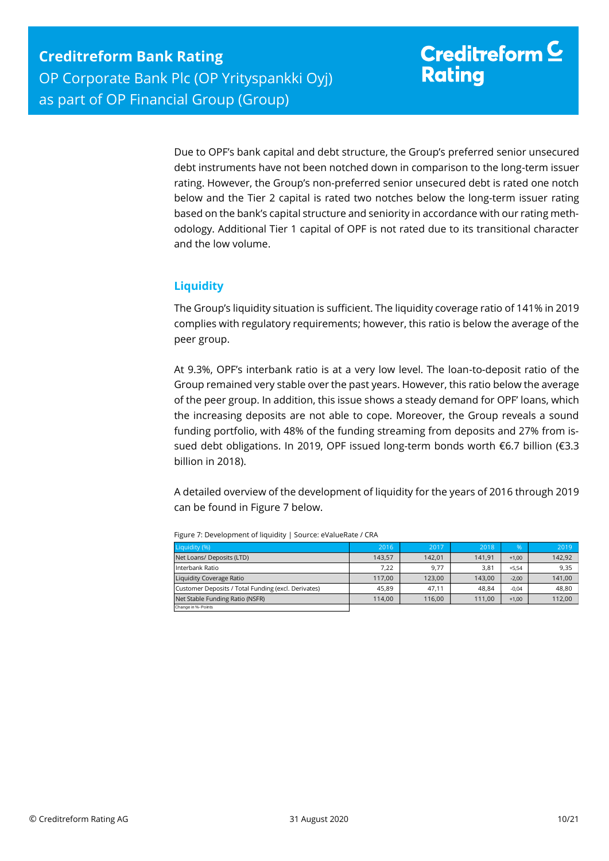Due to OPF's bank capital and debt structure, the Group's preferred senior unsecured debt instruments have not been notched down in comparison to the long-term issuer rating. However, the Group's non-preferred senior unsecured debt is rated one notch below and the Tier 2 capital is rated two notches below the long-term issuer rating based on the bank's capital structure and seniority in accordance with our rating methodology. Additional Tier 1 capital of OPF is not rated due to its transitional character and the low volume.

### <span id="page-9-0"></span>**Liquidity**

The Group's liquidity situation is sufficient. The liquidity coverage ratio of 141% in 2019 complies with regulatory requirements; however, this ratio is below the average of the peer group.

At 9.3%, OPF's interbank ratio is at a very low level. The loan-to-deposit ratio of the Group remained very stable over the past years. However, this ratio below the average of the peer group. In addition, this issue shows a steady demand for OPF' loans, which the increasing deposits are not able to cope. Moreover, the Group reveals a sound funding portfolio, with 48% of the funding streaming from deposits and 27% from issued debt obligations. In 2019, OPF issued long-term bonds worth €6.7 billion (€3.3 billion in 2018).

A detailed overview of the development of liquidity for the years of 2016 through 2019 can be found in Figure 7 below.

| Liquidity (%)                                       | 2016   | 2017   | 2018   | $\frac{9}{6}$ | 2019   |
|-----------------------------------------------------|--------|--------|--------|---------------|--------|
| Net Loans/ Deposits (LTD)                           | 143.57 | 142.01 | 141.91 | $+1.00$       | 142,92 |
| Interbank Ratio                                     | 7.22   | 9,77   | 3,81   | $+5.54$       | 9,35   |
| Liquidity Coverage Ratio                            | 117.00 | 123,00 | 143.00 | $-2.00$       | 141,00 |
| Customer Deposits / Total Funding (excl. Derivates) | 45.89  | 47.11  | 48.84  | $-0.04$       | 48,80  |
| Net Stable Funding Ratio (NSFR)                     | 114.00 | 116.00 | 111.00 | $+1.00$       | 112,00 |
| Change in %- Points                                 |        |        |        |               |        |

Figure 7: Development of liquidity | Source: eValueRate / CRA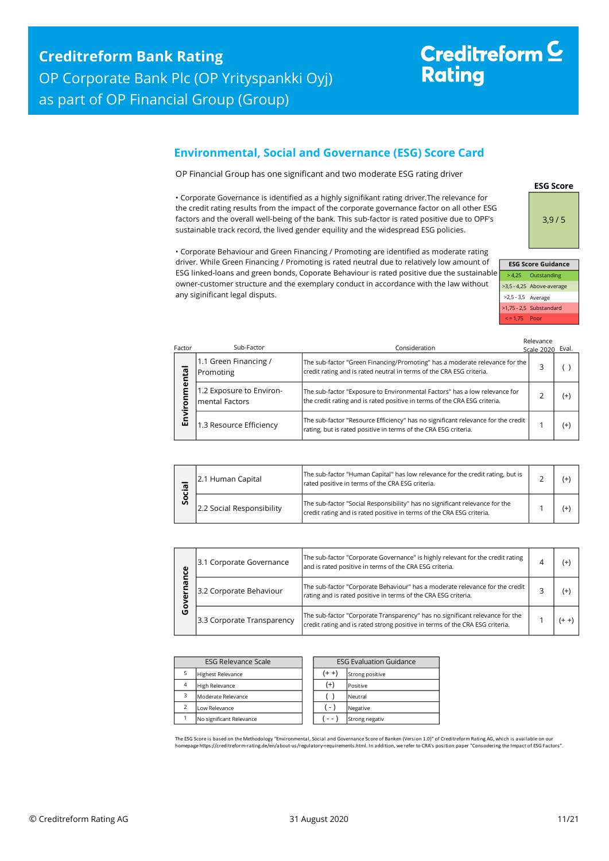# Creditreform<sup>C</sup> **Rating**

## <span id="page-10-0"></span>**Environmental, Social and Governance (ESG) Score Card**

OP Financial Group has one significant and two moderate ESG rating driver

• Corporate Governance is identified as a highly signifikant rating driver.The relevance for the credit rating results from the impact of the corporate governance factor on all other ESG factors and the overall well-being of the bank. This sub-factor is rated positive due to OPF's sustainable track record, the lived gender equility and the widespread ESG policies.

• Corporate Behaviour and Green Financing / Promoting are identified as moderate rating driver. While Green Financing / Promoting is rated neutral due to relatively low amount of ESG linked-loans and green bonds, Coporate Behaviour is rated positive due the sustainable owner-customer structure and the exemplary conduct in accordance with the law without any siginificant legal disputs.



**ESG Score**

|                      | <b>ESG Score Guidance</b> |
|----------------------|---------------------------|
|                      | > 4,25 Outstanding        |
|                      | >3,5 - 4,25 Above-average |
| $>2,5 - 3,5$ Average |                           |
|                      | >1,75 - 2,5 Substandard   |
| $\le$ = 1.75 Poor    |                           |

Relevance

| Factor | Sub-Factor                                 | Consideration                                                                                                                                           | Scale 2020 Eval. |          |
|--------|--------------------------------------------|---------------------------------------------------------------------------------------------------------------------------------------------------------|------------------|----------|
| ntal   | 1.1 Green Financing /<br>Promoting         | The sub-factor "Green Financing/Promoting" has a moderate relevance for the<br>credit rating and is rated neutral in terms of the CRA ESG criteria.     | 3                |          |
| ō<br>ō | 1.2 Exposure to Environ-<br>mental Factors | The sub-factor "Exposure to Environmental Factors" has a low relevance for<br>the credit rating and is rated positive in terms of the CRA ESG criteria. | っ                | $(+)$    |
| Σ<br>両 | 1.3 Resource Efficiency                    | The sub-factor "Resource Efficiency" has no significant relevance for the credit<br>rating, but is rated positive in terms of the CRA ESG criteria.     |                  | $^{(+)}$ |

| ပ္တိ | 2.1 Human Capital         | The sub-factor "Human Capital" has low relevance for the credit rating, but is<br>rated positive in terms of the CRA ESG criteria.                   |  |
|------|---------------------------|------------------------------------------------------------------------------------------------------------------------------------------------------|--|
|      | 2.2 Social Responsibility | The sub-factor "Social Responsibility" has no significant relevance for the<br>credit rating and is rated positive in terms of the CRA ESG criteria. |  |

| ပ္ပ    | 3.1 Corporate Governance   | The sub-factor "Corporate Governance" is highly relevant for the credit rating<br>and is rated positive in terms of the CRA ESG criteria.                    | (+ |
|--------|----------------------------|--------------------------------------------------------------------------------------------------------------------------------------------------------------|----|
|        | 3.2 Corporate Behaviour    | The sub-factor "Corporate Behaviour" has a moderate relevance for the credit<br>rating and is rated positive in terms of the CRA ESG criteria.               | (+ |
| о<br>O | 3.3 Corporate Transparency | The sub-factor "Corporate Transparency" has no significant relevance for the<br>credit rating and is rated strong positive in terms of the CRA ESG criteria. |    |

| <b>ESG Relevance Scale</b> |                          |  | <b>ESG Evaluation Guidance</b> |                 |  |  |
|----------------------------|--------------------------|--|--------------------------------|-----------------|--|--|
|                            | <b>Highest Relevance</b> |  | $(+ +)$                        | Strong positive |  |  |
| $\overline{4}$             | <b>High Relevance</b>    |  | $^{(+)}$                       | Positive        |  |  |
| 3                          | Moderate Relevance       |  |                                | Neutral         |  |  |
| $\overline{\phantom{0}}$   | Low Relevance            |  | $(-)$                          | Negative        |  |  |
|                            | No significant Relevance |  |                                | Strong negativ  |  |  |

The ESG Score is based on the Methodology "Environmental, Social and Governance Score of Banken (Version 1.0)" of Creditreform Rating AG, which is available on our<br>homepage https://creditreform-rating.de/en/about-us/regula homepage https://creditreform-rating.de/en/about-us/regulatory-requirements.html. In addition, we refer to CRA's position paper "Conso<br>epage https://creditreform-rating.de/en/about-us/regulatory-requirements.html. In addit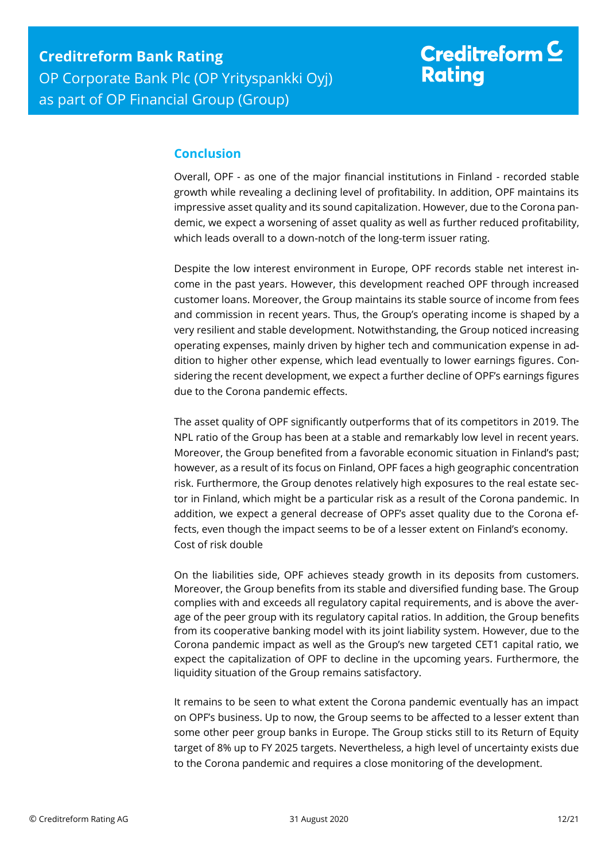## <span id="page-11-0"></span>**Conclusion**

Overall, OPF - as one of the major financial institutions in Finland - recorded stable growth while revealing a declining level of profitability. In addition, OPF maintains its impressive asset quality and its sound capitalization. However, due to the Corona pandemic, we expect a worsening of asset quality as well as further reduced profitability, which leads overall to a down-notch of the long-term issuer rating.

Despite the low interest environment in Europe, OPF records stable net interest income in the past years. However, this development reached OPF through increased customer loans. Moreover, the Group maintains its stable source of income from fees and commission in recent years. Thus, the Group's operating income is shaped by a very resilient and stable development. Notwithstanding, the Group noticed increasing operating expenses, mainly driven by higher tech and communication expense in addition to higher other expense, which lead eventually to lower earnings figures. Considering the recent development, we expect a further decline of OPF's earnings figures due to the Corona pandemic effects.

The asset quality of OPF significantly outperforms that of its competitors in 2019. The NPL ratio of the Group has been at a stable and remarkably low level in recent years. Moreover, the Group benefited from a favorable economic situation in Finland's past; however, as a result of its focus on Finland, OPF faces a high geographic concentration risk. Furthermore, the Group denotes relatively high exposures to the real estate sector in Finland, which might be a particular risk as a result of the Corona pandemic. In addition, we expect a general decrease of OPF's asset quality due to the Corona effects, even though the impact seems to be of a lesser extent on Finland's economy. Cost of risk double

On the liabilities side, OPF achieves steady growth in its deposits from customers. Moreover, the Group benefits from its stable and diversified funding base. The Group complies with and exceeds all regulatory capital requirements, and is above the average of the peer group with its regulatory capital ratios. In addition, the Group benefits from its cooperative banking model with its joint liability system. However, due to the Corona pandemic impact as well as the Group's new targeted CET1 capital ratio, we expect the capitalization of OPF to decline in the upcoming years. Furthermore, the liquidity situation of the Group remains satisfactory.

It remains to be seen to what extent the Corona pandemic eventually has an impact on OPF's business. Up to now, the Group seems to be affected to a lesser extent than some other peer group banks in Europe. The Group sticks still to its Return of Equity target of 8% up to FY 2025 targets. Nevertheless, a high level of uncertainty exists due to the Corona pandemic and requires a close monitoring of the development.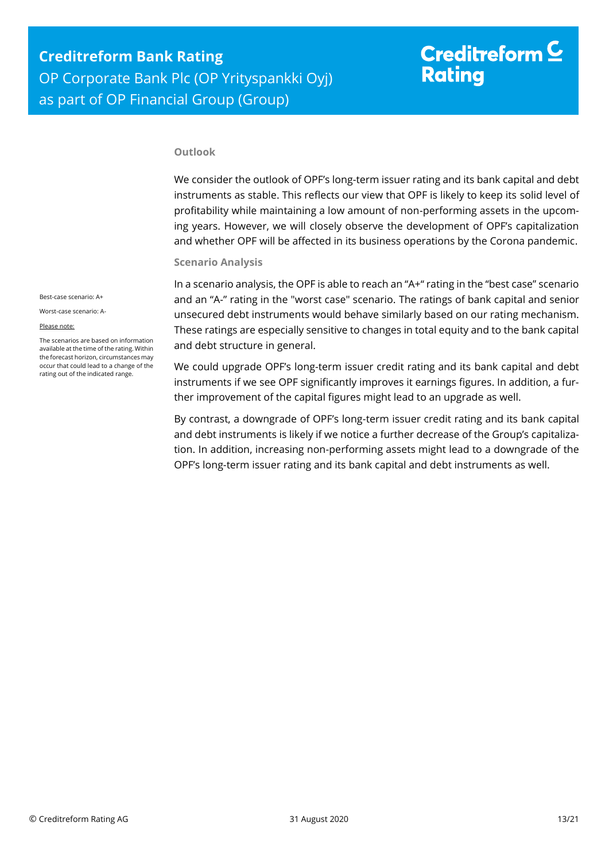# Creditreform  $\mathsf{\underline{C}}$ **Rating**

#### **Outlook**

We consider the outlook of OPF's long-term issuer rating and its bank capital and debt instruments as stable. This reflects our view that OPF is likely to keep its solid level of profitability while maintaining a low amount of non-performing assets in the upcoming years. However, we will closely observe the development of OPF's capitalization and whether OPF will be affected in its business operations by the Corona pandemic.

#### **Scenario Analysis**

In a scenario analysis, the OPF is able to reach an "A+" rating in the "best case" scenario and an "A-" rating in the "worst case" scenario. The ratings of bank capital and senior unsecured debt instruments would behave similarly based on our rating mechanism. These ratings are especially sensitive to changes in total equity and to the bank capital and debt structure in general.

We could upgrade OPF's long-term issuer credit rating and its bank capital and debt instruments if we see OPF significantly improves it earnings figures. In addition, a further improvement of the capital figures might lead to an upgrade as well.

By contrast, a downgrade of OPF's long-term issuer credit rating and its bank capital and debt instruments is likely if we notice a further decrease of the Group's capitalization. In addition, increasing non-performing assets might lead to a downgrade of the OPF's long-term issuer rating and its bank capital and debt instruments as well.

Best-case scenario: A+

Worst-case scenario: A-

#### Please note:

The scenarios are based on information available at the time of the rating. Within the forecast horizon, circumstances may occur that could lead to a change of the rating out of the indicated range.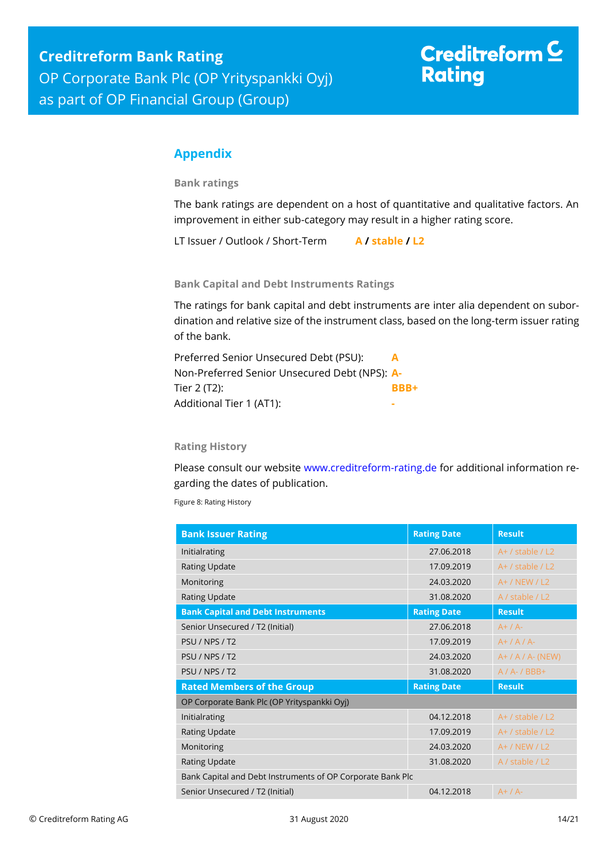# Creditreform  $C$ **Rating**

## <span id="page-13-0"></span>**Appendix**

**Bank ratings**

The bank ratings are dependent on a host of quantitative and qualitative factors. An improvement in either sub-category may result in a higher rating score.

LT Issuer / Outlook / Short-Term **A / stable / L2**

**Bank Capital and Debt Instruments Ratings**

The ratings for bank capital and debt instruments are inter alia dependent on subordination and relative size of the instrument class, based on the long-term issuer rating of the bank.

| Preferred Senior Unsecured Debt (PSU):        | A    |
|-----------------------------------------------|------|
| Non-Preferred Senior Unsecured Debt (NPS): A- |      |
| Tier 2 (T2):                                  | BBB+ |
| Additional Tier 1 (AT1):                      |      |

#### **Rating History**

Please consult our website [www.creditreform-rating.de](http://www.creditreform-rating.de/) for additional information regarding the dates of publication.

Figure 8: Rating History

| <b>Bank Issuer Rating</b>                                  | <b>Rating Date</b> | <b>Result</b>        |
|------------------------------------------------------------|--------------------|----------------------|
| Initialrating                                              | 27.06.2018         | $A+$ / stable / L2   |
| <b>Rating Update</b>                                       | 17.09.2019         | $A+$ / stable / L2   |
| Monitoring                                                 | 24.03.2020         | $A+ / NEW / L2$      |
| <b>Rating Update</b>                                       | 31.08.2020         | A / stable / L2      |
| <b>Bank Capital and Debt Instruments</b>                   | <b>Rating Date</b> | <b>Result</b>        |
| Senior Unsecured / T2 (Initial)                            | 27.06.2018         | $A+ / A-$            |
| PSU / NPS / T2                                             | 17.09.2019         | $A+ / A / A$         |
| PSU / NPS / T2                                             | 24.03.2020         | $A+ / A / A$ - (NEW) |
| PSU / NPS / T2                                             | 31.08.2020         | $A / A - / BBB +$    |
| <b>Rated Members of the Group</b>                          | <b>Rating Date</b> | <b>Result</b>        |
| OP Corporate Bank Plc (OP Yrityspankki Oyj)                |                    |                      |
| Initialrating                                              | 04.12.2018         | $A+$ / stable / L2   |
| <b>Rating Update</b>                                       | 17.09.2019         | $A+$ / stable / L2   |
| Monitoring                                                 | 24.03.2020         | $A+ / NEW / L2$      |
| <b>Rating Update</b>                                       | 31.08.2020         | A / stable / L2      |
| Bank Capital and Debt Instruments of OP Corporate Bank Plc |                    |                      |
| Senior Unsecured / T2 (Initial)                            | 04.12.2018         | $A+ / A-$            |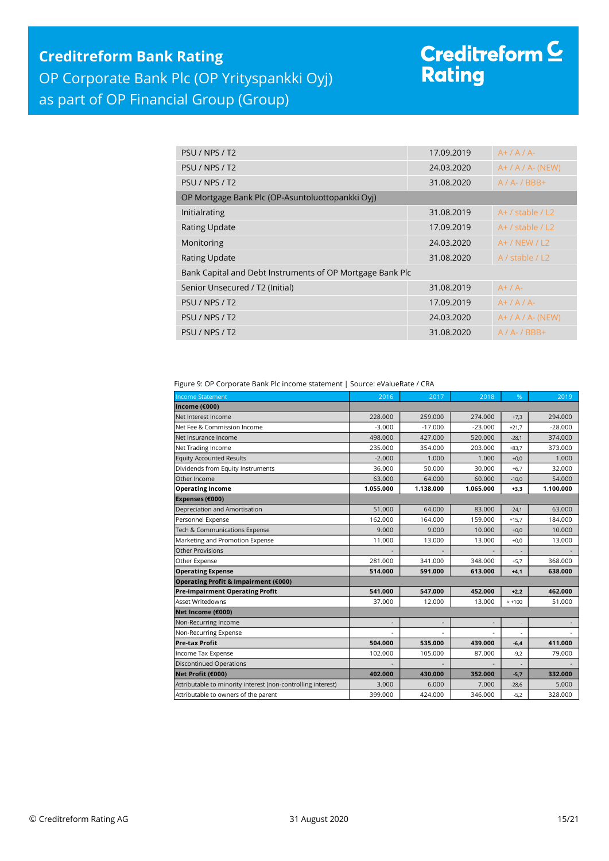## **Creditreform Bank Rating** OP Corporate Bank Plc (OP Yrityspankki Oyj) as part of OP Financial Group (Group)

# Creditreform <sup>C</sup><br>Rating

| PSU / NPS / T2                                            | 17.09.2019 | $A+ / A / A$         |
|-----------------------------------------------------------|------------|----------------------|
| PSU / NPS / T2                                            | 24.03.2020 | $A+ / A / A$ - (NEW) |
| PSU / NPS / T2                                            | 31.08.2020 | $A / A - / BBB +$    |
| OP Mortgage Bank Plc (OP-Asuntoluottopankki Oyi)          |            |                      |
| Initialrating                                             | 31.08.2019 | $A+$ / stable / L2   |
| <b>Rating Update</b>                                      | 17.09.2019 | $A+$ / stable / L2   |
| Monitoring                                                | 24.03.2020 | $A+ / NEW / L2$      |
| <b>Rating Update</b>                                      | 31.08.2020 | A / stable / L2      |
| Bank Capital and Debt Instruments of OP Mortgage Bank Plc |            |                      |
| Senior Unsecured / T2 (Initial)                           | 31.08.2019 | $A+ / A-$            |
| PSU / NPS / T2                                            | 17.09.2019 | $A+ / A / A$         |
| PSU / NPS / T2                                            | 24.03.2020 | $A+ / A / A$ - (NEW) |
| PSU / NPS / T2                                            | 31.08.2020 | $A / A - / BBB +$    |

Figure 9: OP Corporate Bank Plc income statement | Source: eValueRate / CRA

| <b>Income Statement</b>                                      | 2016      | 2017      | 2018                     | %        | 2019      |
|--------------------------------------------------------------|-----------|-----------|--------------------------|----------|-----------|
| Income (€000)                                                |           |           |                          |          |           |
| Net Interest Income                                          | 228,000   | 259,000   | 274.000                  | $+7,3$   | 294.000   |
| Net Fee & Commission Income                                  | $-3.000$  | $-17.000$ | $-23.000$                | $+21,7$  | $-28.000$ |
| Net Insurance Income                                         | 498.000   | 427.000   | 520.000                  | $-28,1$  | 374.000   |
| Net Trading Income                                           | 235.000   | 354.000   | 203.000                  | $+83.7$  | 373.000   |
| <b>Equity Accounted Results</b>                              | $-2.000$  | 1.000     | 1.000                    | $+0,0$   | 1.000     |
| Dividends from Equity Instruments                            | 36.000    | 50.000    | 30.000                   | $+6,7$   | 32.000    |
| Other Income                                                 | 63.000    | 64.000    | 60,000                   | $-10,0$  | 54.000    |
| <b>Operating Income</b>                                      | 1.055.000 | 1.138.000 | 1.065.000                | $+3,3$   | 1.100.000 |
| Expenses (€000)                                              |           |           |                          |          |           |
| Depreciation and Amortisation                                | 51.000    | 64.000    | 83.000                   | $-24,1$  | 63.000    |
| Personnel Expense                                            | 162.000   | 164.000   | 159.000                  | $+15.7$  | 184.000   |
| Tech & Communications Expense                                | 9.000     | 9.000     | 10.000                   | $+0,0$   | 10.000    |
| Marketing and Promotion Expense                              | 11.000    | 13.000    | 13.000                   | $+0,0$   | 13.000    |
| Other Provisions                                             |           |           |                          |          |           |
| Other Expense                                                | 281.000   | 341.000   | 348.000                  | $+5,7$   | 368,000   |
| <b>Operating Expense</b>                                     | 514.000   | 591.000   | 613.000                  | $+4,1$   | 638.000   |
| Operating Profit & Impairment (€000)                         |           |           |                          |          |           |
| <b>Pre-impairment Operating Profit</b>                       | 541.000   | 547.000   | 452.000                  | $+2.2$   | 462.000   |
| Asset Writedowns                                             | 37.000    | 12.000    | 13.000                   | $> +100$ | 51.000    |
| Net Income (€000)                                            |           |           |                          |          |           |
| Non-Recurring Income                                         | ٠         |           | $\overline{\phantom{a}}$ | ×        |           |
| Non-Recurring Expense                                        |           |           |                          |          |           |
| <b>Pre-tax Profit</b>                                        | 504.000   | 535.000   | 439.000                  | $-6,4$   | 411.000   |
| Income Tax Expense                                           | 102.000   | 105.000   | 87.000                   | $-9,2$   | 79.000    |
| <b>Discontinued Operations</b>                               |           |           |                          |          |           |
| Net Profit (€000)                                            | 402.000   | 430.000   | 352.000                  | $-5,7$   | 332.000   |
| Attributable to minority interest (non-controlling interest) | 3.000     | 6.000     | 7.000                    | $-28,6$  | 5.000     |
| Attributable to owners of the parent                         | 399.000   | 424.000   | 346.000                  | $-5,2$   | 328.000   |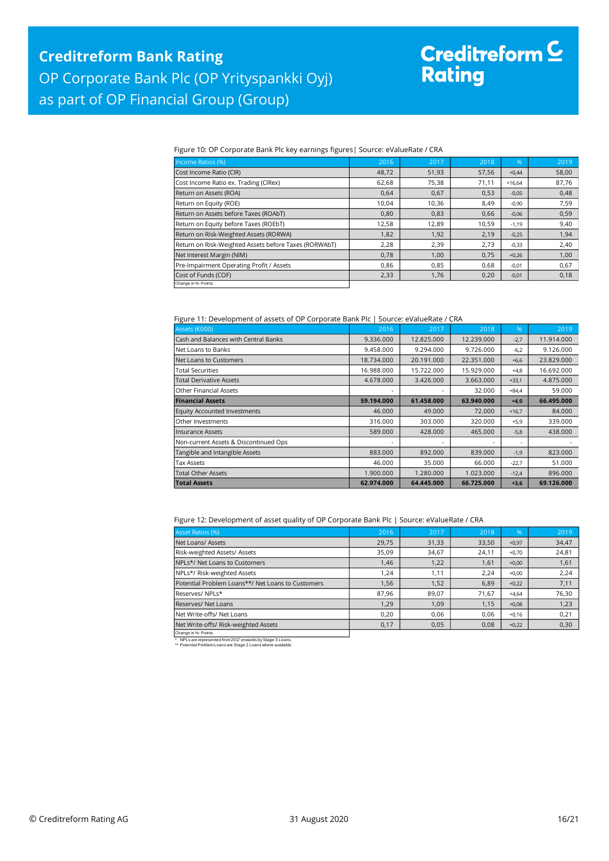# Creditreform C<br>Rating

#### Figure 10: OP Corporate Bank Plc key earnings figures| Source: eValueRate / CRA

| Income Ratios (%)                                     | 2016  | 2017  | 2018  | %        | 2019  |
|-------------------------------------------------------|-------|-------|-------|----------|-------|
| Cost Income Ratio (CIR)                               | 48,72 | 51,93 | 57,56 | $+0,44$  | 58,00 |
| Cost Income Ratio ex. Trading (CIRex)                 | 62,68 | 75,38 | 71,11 | $+16,64$ | 87,76 |
| Return on Assets (ROA)                                | 0,64  | 0,67  | 0,53  | $-0,05$  | 0,48  |
| Return on Equity (ROE)                                | 10,04 | 10,36 | 8,49  | $-0,90$  | 7,59  |
| Return on Assets before Taxes (ROAbT)                 | 0,80  | 0,83  | 0,66  | $-0,06$  | 0,59  |
| Return on Equity before Taxes (ROEbT)                 | 12,58 | 12,89 | 10,59 | $-1,19$  | 9,40  |
| Return on Risk-Weighted Assets (RORWA)                | 1,82  | 1,92  | 2,19  | $-0,25$  | 1,94  |
| Return on Risk-Weighted Assets before Taxes (RORWAbT) | 2,28  | 2,39  | 2,73  | $-0,33$  | 2,40  |
| Net Interest Margin (NIM)                             | 0,78  | 1,00  | 0,75  | $+0,26$  | 1,00  |
| Pre-Impairment Operating Profit / Assets              | 0,86  | 0.85  | 0.68  | $-0,01$  | 0,67  |
| Cost of Funds (COF)                                   | 2,33  | 1,76  | 0,20  | $-0,01$  | 0,18  |
| Change in %- Points                                   |       |       |       |          |       |

#### Figure 11: Development of assets of OP Corporate Bank Plc | Source: eValueRate / CRA

| Assets (€000)                         | 2016       | 2017       | 2018       | $\%$    | 2019       |
|---------------------------------------|------------|------------|------------|---------|------------|
| Cash and Balances with Central Banks  | 9.336.000  | 12.825.000 | 12.239.000 | $-2,7$  | 11.914.000 |
| Net Loans to Banks                    | 9.458.000  | 9.294.000  | 9.726.000  | $-6,2$  | 9.126.000  |
| Net Loans to Customers                | 18.734.000 | 20.191.000 | 22.351.000 | $+6,6$  | 23.829.000 |
| <b>Total Securities</b>               | 16.988.000 | 15.722.000 | 15.929.000 | $+4,8$  | 16.692.000 |
| <b>Total Derivative Assets</b>        | 4.678.000  | 3.426.000  | 3.663.000  | $+33,1$ | 4.875.000  |
| <b>Other Financial Assets</b>         |            |            | 32.000     | $+84,4$ | 59.000     |
| <b>Financial Assets</b>               | 59.194.000 | 61.458.000 | 63.940.000 | $+4,0$  | 66.495.000 |
| <b>Equity Accounted Investments</b>   | 46.000     | 49,000     | 72,000     | $+16,7$ | 84,000     |
| Other Investments                     | 316.000    | 303.000    | 320.000    | $+5,9$  | 339.000    |
| <b>Insurance Assets</b>               | 589.000    | 428,000    | 465.000    | $-5,8$  | 438.000    |
| Non-current Assets & Discontinued Ops | ٠          |            |            | ۰       |            |
| Tangible and Intangible Assets        | 883,000    | 892,000    | 839,000    | $-1,9$  | 823,000    |
| <b>Tax Assets</b>                     | 46.000     | 35.000     | 66.000     | $-22,7$ | 51.000     |
| <b>Total Other Assets</b>             | 1.900.000  | 1.280.000  | 1.023.000  | $-12,4$ | 896,000    |
| <b>Total Assets</b>                   | 62.974.000 | 64.445.000 | 66.725.000 | $+3,6$  | 69.126.000 |

#### Figure 12: Development of asset quality of OP Corporate Bank Plc | Source: eValueRate / CRA

| Asset Ratios (%)                                  | 2016  | 2017  | 2018  | $\%$    | 2019  |
|---------------------------------------------------|-------|-------|-------|---------|-------|
| Net Loans/ Assets                                 | 29,75 | 31,33 | 33,50 | $+0,97$ | 34,47 |
| Risk-weighted Assets/ Assets                      | 35,09 | 34,67 | 24,11 | $+0.70$ | 24,81 |
| NPLs*/ Net Loans to Customers                     | 1,46  | 1,22  | 1,61  | $+0,00$ | 1,61  |
| NPLs*/ Risk-weighted Assets                       | .24   | 1,11  | 2,24  | $+0.00$ | 2,24  |
| Potential Problem Loans**/ Net Loans to Customers | 1,56  | 1,52  | 6,89  | $+0,22$ | 7,11  |
| Reserves/NPLs*                                    | 87,96 | 89,07 | 71,67 | $+4.64$ | 76,30 |
| Reserves/ Net Loans                               | 1,29  | 1,09  | 1,15  | $+0,08$ | 1,23  |
| Net Write-offs/ Net Loans                         | 0.20  | 0.06  | 0.06  | $+0.16$ | 0,21  |
| Net Write-offs/ Risk-weighted Assets              | 0,17  | 0,05  | 0,08  | $+0,22$ | 0,30  |
| Change in %- Points                               |       |       |       |         |       |

\* NPLs are represented from 2017 onwards by Stage 3 Loans. \*\* Potential Problem Loans are Stage 2 Loans where available.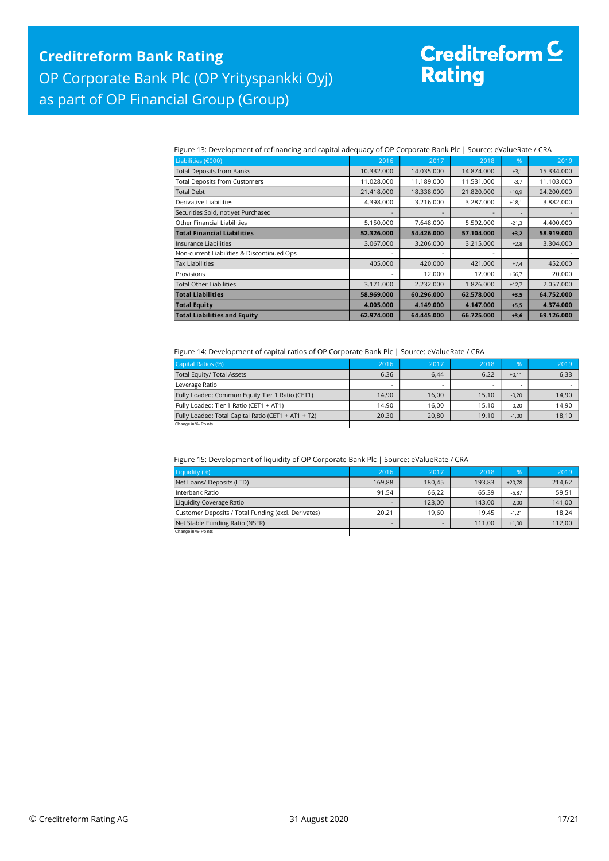# Creditreform <mark>C</mark><br>Rating

Figure 13: Development of refinancing and capital adequacy of OP Corporate Bank Plc | Source: eValueRate / CRA

| Liabilities (€000)                         | 2016       | 2017       | 2018       | $\%$    | 2019       |
|--------------------------------------------|------------|------------|------------|---------|------------|
| <b>Total Deposits from Banks</b>           | 10.332.000 | 14.035.000 | 14.874.000 | $+3,1$  | 15.334.000 |
| <b>Total Deposits from Customers</b>       | 11.028.000 | 11.189.000 | 11.531.000 | $-3,7$  | 11.103.000 |
| <b>Total Debt</b>                          | 21.418.000 | 18.338.000 | 21.820.000 | $+10,9$ | 24.200.000 |
| Derivative Liabilities                     | 4.398.000  | 3.216.000  | 3.287.000  | $+18,1$ | 3.882.000  |
| Securities Sold, not yet Purchased         |            |            |            |         |            |
| Other Financial Liabilities                | 5.150.000  | 7.648.000  | 5.592.000  | $-21,3$ | 4.400.000  |
| <b>Total Financial Liabilities</b>         | 52.326.000 | 54.426.000 | 57.104.000 | $+3,2$  | 58.919.000 |
| Insurance Liabilities                      | 3.067.000  | 3.206.000  | 3.215.000  | $+2,8$  | 3.304.000  |
| Non-current Liabilities & Discontinued Ops |            |            |            |         |            |
| <b>Tax Liabilities</b>                     | 405.000    | 420.000    | 421.000    | $+7,4$  | 452.000    |
| Provisions                                 |            | 12.000     | 12.000     | $+66,7$ | 20.000     |
| <b>Total Other Liabilities</b>             | 3.171.000  | 2.232.000  | 1.826.000  | $+12,7$ | 2.057.000  |
| <b>Total Liabilities</b>                   | 58.969.000 | 60.296.000 | 62.578.000 | $+3,5$  | 64.752.000 |
| <b>Total Equity</b>                        | 4.005.000  | 4.149.000  | 4.147.000  | $+5,5$  | 4.374.000  |
| <b>Total Liabilities and Equity</b>        | 62.974.000 | 64.445.000 | 66.725.000 | $+3,6$  | 69.126.000 |

Figure 14: Development of capital ratios of OP Corporate Bank Plc | Source: eValueRate / CRA

| Capital Ratios (%)                                  | 2016  | 2017  | 2018  | %       | 2019  |
|-----------------------------------------------------|-------|-------|-------|---------|-------|
| Total Equity/ Total Assets                          | 6,36  | 6.44  | 6,22  | $+0,11$ | 6,33  |
| Leverage Ratio                                      | -     |       |       |         |       |
| Fully Loaded: Common Equity Tier 1 Ratio (CET1)     | 14.90 | 16.00 | 15,10 | $-0,20$ | 14,90 |
| Fully Loaded: Tier 1 Ratio (CET1 + AT1)             | 14.90 | 16.00 | 15.10 | $-0.20$ | 14.90 |
| Fully Loaded: Total Capital Ratio (CET1 + AT1 + T2) | 20,30 | 20,80 | 19.10 | $-1,00$ | 18,10 |
| Change in %- Points                                 |       |       |       |         |       |

Figure 15: Development of liquidity of OP Corporate Bank Plc | Source: eValueRate / CRA

| Liquidity (%)                                       | 2016                     | 2017   | 2018   | %        | 2019   |
|-----------------------------------------------------|--------------------------|--------|--------|----------|--------|
| Net Loans/ Deposits (LTD)                           | 169.88                   | 180,45 | 193.83 | $+20.78$ | 214,62 |
| Interbank Ratio                                     | 91.54                    | 66.22  | 65.39  | $-5.87$  | 59,51  |
| Liquidity Coverage Ratio                            | $\overline{\phantom{0}}$ | 123,00 | 143.00 | $-2,00$  | 141,00 |
| Customer Deposits / Total Funding (excl. Derivates) | 20.21                    | 19.60  | 19.45  | $-1.21$  | 18,24  |
| Net Stable Funding Ratio (NSFR)                     | $\overline{\phantom{0}}$ |        | 111.00 | $+1,00$  | 112,00 |
| Change in %-Points                                  |                          |        |        |          |        |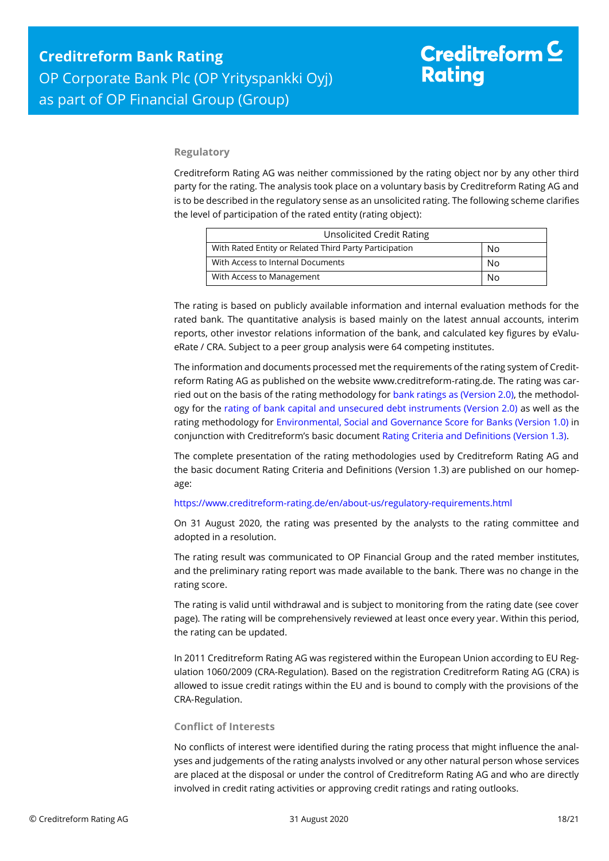#### **Regulatory**

Creditreform Rating AG was neither commissioned by the rating object nor by any other third party for the rating. The analysis took place on a voluntary basis by Creditreform Rating AG and is to be described in the regulatory sense as an unsolicited rating. The following scheme clarifies the level of participation of the rated entity (rating object):

| Unsolicited Credit Rating                              |    |  |
|--------------------------------------------------------|----|--|
| With Rated Entity or Related Third Party Participation | No |  |
| With Access to Internal Documents                      | No |  |
| With Access to Management                              | N٥ |  |

The rating is based on publicly available information and internal evaluation methods for the rated bank. The quantitative analysis is based mainly on the latest annual accounts, interim reports, other investor relations information of the bank, and calculated key figures by eValueRate / CRA. Subject to a peer group analysis were 64 competing institutes.

The information and documents processed met the requirements of the rating system of Creditreform Rating AG as published on the website www.creditreform-rating.de. The rating was carried out on the basis of the rating methodology fo[r bank ratings as \(Version 2.0\),](https://www.creditreform-rating.de/en/about-us/regulatory-requirements.html?file=files/content/downloads/Externes%20Rating/Regulatorische%20Anforderungen/EN/Ratingmethodiken%20EN/Rating%20Methodology%20Bank%20Ratings%20v2.0.pdf) the methodology for the [rating of bank capital and unsecured debt instruments \(Version 2.0\)](https://www.creditreform-rating.de/en/about-us/regulatory-requirements.html?file=files/content/downloads/Externes%20Rating/Regulatorische%20Anforderungen/EN/Ratingmethodiken%20EN/Bank%20Capital%20and%20Unsecured%20Debt%20Instruments%20Methodology.pdf) as well as the rating methodology for [Environmental, Social and Governance Score for Banks \(Version 1.0\)](https://www.creditreform-rating.de/en/about-us/regulatory-requirements.html?file=files/content/downloads/Externes%20Rating/Regulatorische%20Anforderungen/EN/Ratingmethodiken%20EN/Rating%20Methodology%20ESG%20v1.0.pdf) in conjunction with Creditreform's basic documen[t Rating Criteria and Definitions \(Version 1.3\).](https://www.creditreform-rating.de/en/about-us/regulatory-requirements.html?file=files/content/downloads/Externes%20Rating/Regulatorische%20Anforderungen/EN/Ratingmethodiken%20EN/CRAG%20Rating%20Criteria%20and%20Definitions.pdf)

The complete presentation of the rating methodologies used by Creditreform Rating AG and the basic document Rating Criteria and Definitions (Version 1.3) are published on our homepage:

#### <https://www.creditreform-rating.de/en/about-us/regulatory-requirements.html>

On 31 August 2020, the rating was presented by the analysts to the rating committee and adopted in a resolution.

The rating result was communicated to OP Financial Group and the rated member institutes, and the preliminary rating report was made available to the bank. There was no change in the rating score.

The rating is valid until withdrawal and is subject to monitoring from the rating date (see cover page). The rating will be comprehensively reviewed at least once every year. Within this period, the rating can be updated.

In 2011 Creditreform Rating AG was registered within the European Union according to EU Regulation 1060/2009 (CRA-Regulation). Based on the registration Creditreform Rating AG (CRA) is allowed to issue credit ratings within the EU and is bound to comply with the provisions of the CRA-Regulation.

#### **Conflict of Interests**

No conflicts of interest were identified during the rating process that might influence the analyses and judgements of the rating analysts involved or any other natural person whose services are placed at the disposal or under the control of Creditreform Rating AG and who are directly involved in credit rating activities or approving credit ratings and rating outlooks.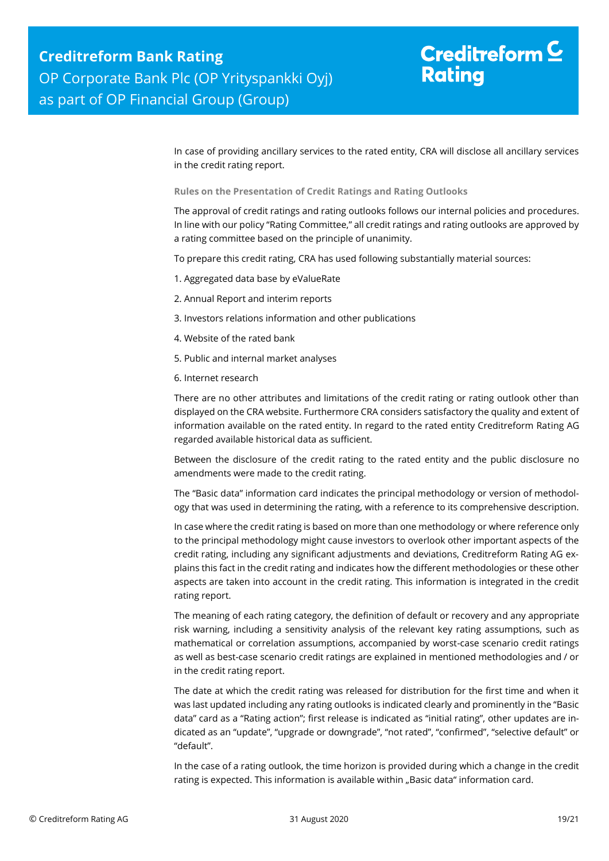## Creditreform  $C$ **Rating**

In case of providing ancillary services to the rated entity, CRA will disclose all ancillary services in the credit rating report.

**Rules on the Presentation of Credit Ratings and Rating Outlooks**

The approval of credit ratings and rating outlooks follows our internal policies and procedures. In line with our policy "Rating Committee," all credit ratings and rating outlooks are approved by a rating committee based on the principle of unanimity.

To prepare this credit rating, CRA has used following substantially material sources:

- 1. Aggregated data base by eValueRate
- 2. Annual Report and interim reports
- 3. Investors relations information and other publications
- 4. Website of the rated bank
- 5. Public and internal market analyses
- 6. Internet research

There are no other attributes and limitations of the credit rating or rating outlook other than displayed on the CRA website. Furthermore CRA considers satisfactory the quality and extent of information available on the rated entity. In regard to the rated entity Creditreform Rating AG regarded available historical data as sufficient.

Between the disclosure of the credit rating to the rated entity and the public disclosure no amendments were made to the credit rating.

The "Basic data" information card indicates the principal methodology or version of methodology that was used in determining the rating, with a reference to its comprehensive description.

In case where the credit rating is based on more than one methodology or where reference only to the principal methodology might cause investors to overlook other important aspects of the credit rating, including any significant adjustments and deviations, Creditreform Rating AG explains this fact in the credit rating and indicates how the different methodologies or these other aspects are taken into account in the credit rating. This information is integrated in the credit rating report.

The meaning of each rating category, the definition of default or recovery and any appropriate risk warning, including a sensitivity analysis of the relevant key rating assumptions, such as mathematical or correlation assumptions, accompanied by worst-case scenario credit ratings as well as best-case scenario credit ratings are explained in mentioned methodologies and / or in the credit rating report.

The date at which the credit rating was released for distribution for the first time and when it was last updated including any rating outlooks is indicated clearly and prominently in the "Basic data" card as a "Rating action"; first release is indicated as "initial rating", other updates are indicated as an "update", "upgrade or downgrade", "not rated", "confirmed", "selective default" or "default".

In the case of a rating outlook, the time horizon is provided during which a change in the credit rating is expected. This information is available within "Basic data" information card.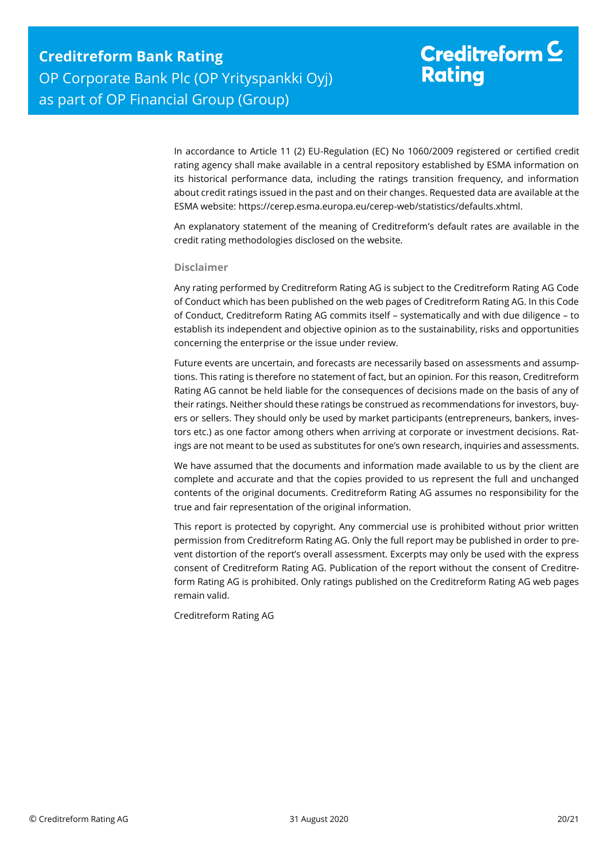# Creditreform  $\mathsf{\underline{C}}$ **Rating**

In accordance to Article 11 (2) EU-Regulation (EC) No 1060/2009 registered or certified credit rating agency shall make available in a central repository established by ESMA information on its historical performance data, including the ratings transition frequency, and information about credit ratings issued in the past and on their changes. Requested data are available at the ESMA website: https://cerep.esma.europa.eu/cerep-web/statistics/defaults.xhtml.

An explanatory statement of the meaning of Creditreform's default rates are available in the credit rating methodologies disclosed on the website.

#### **Disclaimer**

Any rating performed by Creditreform Rating AG is subject to the Creditreform Rating AG Code of Conduct which has been published on the web pages of Creditreform Rating AG. In this Code of Conduct, Creditreform Rating AG commits itself – systematically and with due diligence – to establish its independent and objective opinion as to the sustainability, risks and opportunities concerning the enterprise or the issue under review.

Future events are uncertain, and forecasts are necessarily based on assessments and assumptions. This rating is therefore no statement of fact, but an opinion. For this reason, Creditreform Rating AG cannot be held liable for the consequences of decisions made on the basis of any of their ratings. Neither should these ratings be construed as recommendations for investors, buyers or sellers. They should only be used by market participants (entrepreneurs, bankers, investors etc.) as one factor among others when arriving at corporate or investment decisions. Ratings are not meant to be used as substitutes for one's own research, inquiries and assessments.

We have assumed that the documents and information made available to us by the client are complete and accurate and that the copies provided to us represent the full and unchanged contents of the original documents. Creditreform Rating AG assumes no responsibility for the true and fair representation of the original information.

This report is protected by copyright. Any commercial use is prohibited without prior written permission from Creditreform Rating AG. Only the full report may be published in order to prevent distortion of the report's overall assessment. Excerpts may only be used with the express consent of Creditreform Rating AG. Publication of the report without the consent of Creditreform Rating AG is prohibited. Only ratings published on the Creditreform Rating AG web pages remain valid.

Creditreform Rating AG